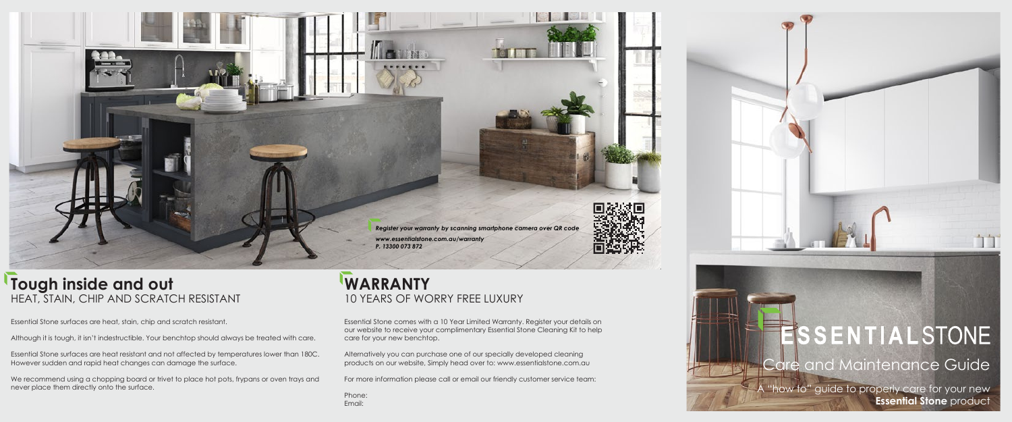# **ESSENTIALSTONE** Care and Maintenance Guide  $\mathsf A$  "how to" guide to properly care for your new  $\mathsf A$ **Essential Stone** product



Essential Stone surfaces are heat, stain, chip and scratch resistant.

Although it is tough, it isn't indestructible. Your benchtop should always be treated with care.

We recommend using a chopping board or trivet to place hot pots, frypans or oven trays and never place them directly onto the surface.

Essential Stone surfaces are heat resistant and not affected by temperatures lower than 180C. However sudden and rapid heat changes can damage the surface.

### **WARRANTY** 10 YEARS OF WORRY FREE LUXURY

Essential Stone comes with a 10 Year Limited Warranty. Register your details on our website to receive your complimentary Essential Stone Cleaning Kit to help care for your new benchtop.

Alternatively you can purchase one of our specially developed cleaning products on our website, Simply head over to: www.essentialstone.com.au

For more information please call or email our friendly customer service team:

Phone: Email:







*Register your warranty by scanning smartphone camera over QR code*

*www.essentialstone.com.au/warranty*

*P. 13300 073 872*